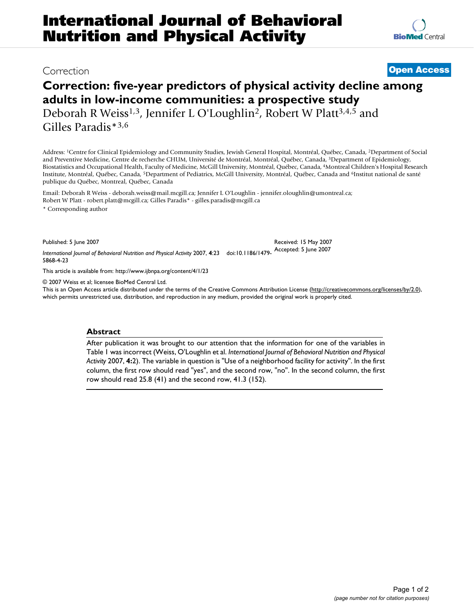## Correction **[Open Access](http://www.biomedcentral.com/info/about/charter/)**

# **Correction: five-year predictors of physical activity decline among adults in low-income communities: a prospective study**

Deborah R Weiss<sup>1,3</sup>, Jennifer L O'Loughlin<sup>2</sup>, Robert W Platt<sup>3,4,5</sup> and Gilles Paradis\*3,6

Address: 1Centre for Clinical Epidemiology and Community Studies, Jewish General Hospital, Montréal, Québec, Canada, 2Department of Social and Preventive Medicine, Centre de recherche CHUM, Université de Montréal, Montréal, Québec, Canada, 3Department of Epidemiology, Biostatistics and Occupational Health, Faculty of Medicine, McGill University, Montréal, Québec, Canada, 4Montreal Children's Hospital Research Institute, Montréal, Québec, Canada, 5Department of Pediatrics, McGill University, Montréal, Québec, Canada and 6Institut national de santé publique du Québec, Montreal, Québec, Canada

Email: Deborah R Weiss - deborah.weiss@mail.mcgill.ca; Jennifer L O'Loughlin - jennifer.oloughlin@umontreal.ca; Robert W Platt - robert.platt@mcgill.ca; Gilles Paradis\* - gilles.paradis@mcgill.ca

\* Corresponding author

Published: 5 June 2007

*International Journal of Behavioral Nutrition and Physical Activity* 2007, **4**:23 doi:10.1186/1479- Accepted: 5 June 2007 5868-4-23

[This article is available from: http://www.ijbnpa.org/content/4/1/23](http://www.ijbnpa.org/content/4/1/23)

© 2007 Weiss et al; licensee BioMed Central Ltd.

This is an Open Access article distributed under the terms of the Creative Commons Attribution License [\(http://creativecommons.org/licenses/by/2.0\)](http://creativecommons.org/licenses/by/2.0), which permits unrestricted use, distribution, and reproduction in any medium, provided the original work is properly cited.

Received: 15 May 2007

### **Abstract**

After publication it was brought to our attention that the information for one of the variables in Table 1 was incorrect (Weiss, O'Loughlin et al. *International Journal of Behavioral Nutrition and Physical Activity* 2007, **4:**2). The variable in question is "Use of a neighborhood facility for activity". In the first column, the first row should read "yes", and the second row, "no". In the second column, the first row should read 25.8 (41) and the second row, 41.3 (152).